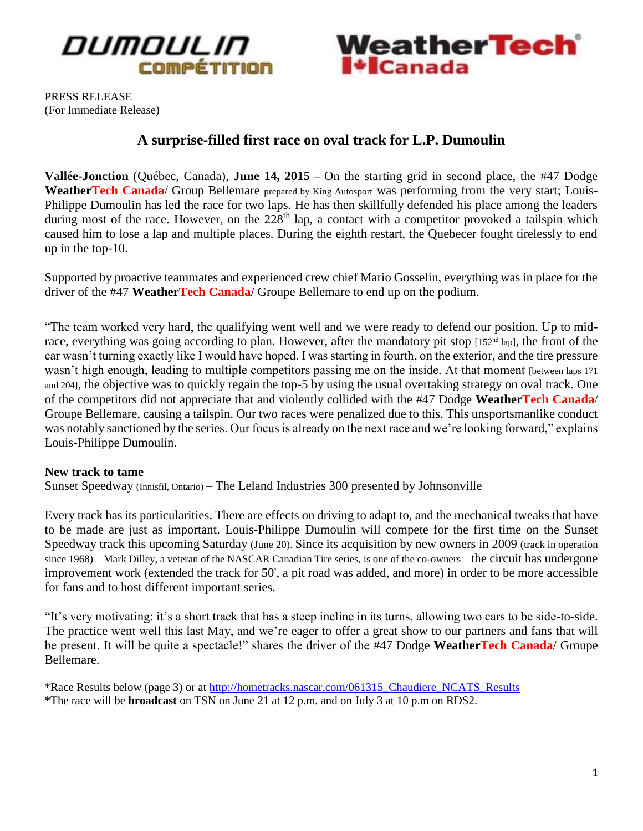



PRESS RELEASE (For Immediate Release)

# **A surprise-filled first race on oval track for L.P. Dumoulin**

**Vallée-Jonction** (Québec, Canada), **June 14, 2015** – On the starting grid in second place, the #47 Dodge WeatherTech Canada/ Group Bellemare prepared by King Autosport was performing from the very start; Louis-Philippe Dumoulin has led the race for two laps. He has then skillfully defended his place among the leaders during most of the race. However, on the  $228<sup>th</sup>$  lap, a contact with a competitor provoked a tailspin which caused him to lose a lap and multiple places. During the eighth restart, the Quebecer fought tirelessly to end up in the top-10.

Supported by proactive teammates and experienced crew chief Mario Gosselin, everything was in place for the driver of the #47 **WeatherTech Canada**/ Groupe Bellemare to end up on the podium.

"The team worked very hard, the qualifying went well and we were ready to defend our position. Up to midrace, everything was going according to plan. However, after the mandatory pit stop [152<sup>nd</sup> lap], the front of the car wasn't turning exactly like I would have hoped. I was starting in fourth, on the exterior, and the tire pressure wasn't high enough, leading to multiple competitors passing me on the inside. At that moment [between laps 171 and 204], the objective was to quickly regain the top-5 by using the usual overtaking strategy on oval track. One of the competitors did not appreciate that and violently collided with the #47 Dodge **WeatherTech Canada**/ Groupe Bellemare, causing a tailspin. Our two races were penalized due to this. This unsportsmanlike conduct was notably sanctioned by the series. Our focus is already on the next race and we're looking forward," explains Louis-Philippe Dumoulin.

#### **New track to tame**

Sunset Speedway (Innisfil, Ontario) – The Leland Industries 300 presented by Johnsonville

Every track has its particularities. There are effects on driving to adapt to, and the mechanical tweaks that have to be made are just as important. Louis-Philippe Dumoulin will compete for the first time on the Sunset Speedway track this upcoming Saturday (June 20). Since its acquisition by new owners in 2009 (track in operation since 1968) – Mark Dilley, a veteran of the NASCAR Canadian Tire series, is one of the co-owners – the circuit has undergone improvement work (extended the track for 50', a pit road was added, and more) in order to be more accessible for fans and to host different important series.

"It's very motivating; it's a short track that has a steep incline in its turns, allowing two cars to be side-to-side. The practice went well this last May, and we're eager to offer a great show to our partners and fans that will be present. It will be quite a spectacle!" shares the driver of the #47 Dodge **WeatherTech Canada**/ Groupe Bellemare.

\*Race Results below (page 3) or at [http://hometracks.nascar.com/061315\\_Chaudiere\\_NCATS\\_Results](http://hometracks.nascar.com/061315_Chaudiere_NCATS_Results) \*The race will be **broadcast** on TSN on June 21 at 12 p.m. and on July 3 at 10 p.m on RDS2.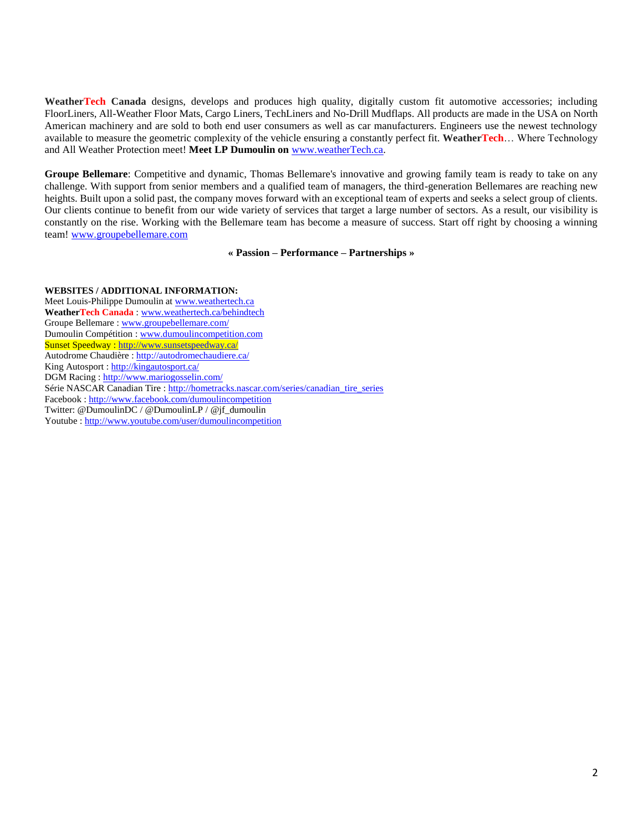**WeatherTech Canada** designs, develops and produces high quality, digitally custom fit automotive accessories; including FloorLiners, All-Weather Floor Mats, Cargo Liners, TechLiners and No-Drill Mudflaps. All products are made in the USA on North American machinery and are sold to both end user consumers as well as car manufacturers. Engineers use the newest technology available to measure the geometric complexity of the vehicle ensuring a constantly perfect fit. **WeatherTech**… Where Technology and All Weather Protection meet! **Meet LP Dumoulin on** [www.weatherTech.ca.](http://www.weathertech.ca/)

**Groupe Bellemare**: Competitive and dynamic, Thomas Bellemare's innovative and growing family team is ready to take on any challenge. With support from senior members and a qualified team of managers, the third-generation Bellemares are reaching new heights. Built upon a solid past, the company moves forward with an exceptional team of experts and seeks a select group of clients. Our clients continue to benefit from our wide variety of services that target a large number of sectors. As a result, our visibility is constantly on the rise. Working with the Bellemare team has become a measure of success. Start off right by choosing a winning team! [www.groupebellemare.com](http://www.groupebellemare.com/)

#### **« Passion – Performance – Partnerships »**

#### **WEBSITES / ADDITIONAL INFORMATION:**

Meet Louis-Philippe Dumoulin a[t www.weathertech.ca](http://www.weathertech.ca/) **WeatherTech Canada** [: www.weathertech.ca/behindtech](http://www.weathertech.ca/behindtech) Groupe Bellemare : [www.groupebellemare.com/](http://www.groupebellemare.com/) Dumoulin Compétition [: www.dumoulincompetition.com](http://www.dumoulincompetition.com/) Sunset Speedway :<http://www.sunsetspeedway.ca/> Autodrome Chaudière :<http://autodromechaudiere.ca/> King Autosport :<http://kingautosport.ca/> DGM Racing :<http://www.mariogosselin.com/> Série NASCAR Canadian Tire [: http://hometracks.nascar.com/series/canadian\\_tire\\_series](http://hometracks.nascar.com/series/canadian_tire_series) Facebook [: http://www.facebook.com/dumoulincompetition](http://www.facebook.com/dumoulincompetition) Twitter: @DumoulinDC / @DumoulinLP / @jf\_dumoulin Youtube [: http://www.youtube.com/user/dumoulincompetition](http://www.youtube.com/user/dumoulincompetition)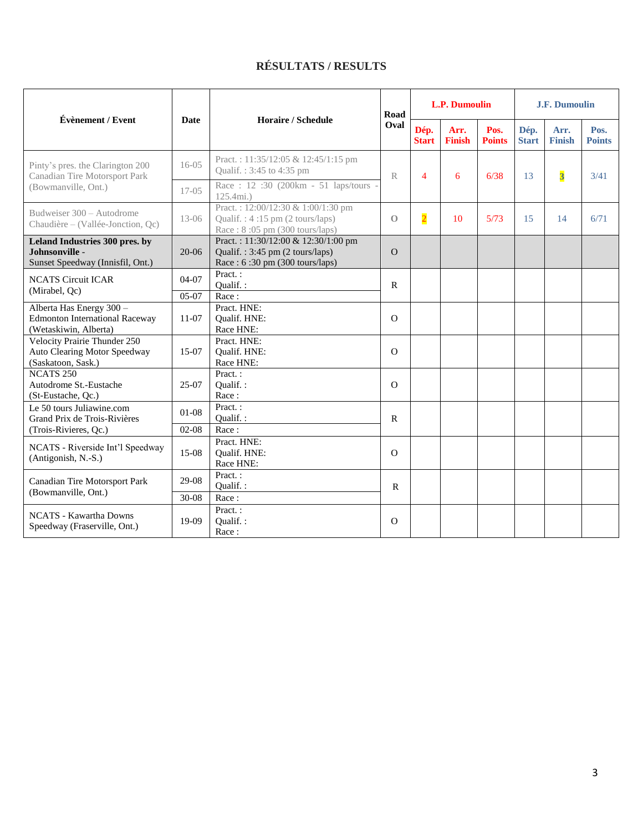## **RÉSULTATS / RESULTS**

| Évènement / Event                                                                          | <b>Date</b>          | Horaire / Schedule                                                                                                | Road<br>Oval   | <b>L.P. Dumoulin</b> |                       |                       | <b>J.F. Dumoulin</b> |                         |                       |
|--------------------------------------------------------------------------------------------|----------------------|-------------------------------------------------------------------------------------------------------------------|----------------|----------------------|-----------------------|-----------------------|----------------------|-------------------------|-----------------------|
|                                                                                            |                      |                                                                                                                   |                | Dép.<br><b>Start</b> | Arr.<br><b>Finish</b> | Pos.<br><b>Points</b> | Dép.<br><b>Start</b> | Arr.<br><b>Finish</b>   | Pos.<br><b>Points</b> |
| Pinty's pres. the Clarington 200<br>Canadian Tire Motorsport Park<br>(Bowmanville, Ont.)   | $16-05$              | Pract.: 11:35/12:05 & 12:45/1:15 pm<br>Qualif.: 3:45 to 4:35 pm                                                   | $\mathbb{R}$   | $\overline{4}$       | 6                     | 6/38                  | 13                   | $\overline{\mathbf{3}}$ | 3/41                  |
|                                                                                            | $17-05$              | Race: $12:30$ (200km - 51 laps/tours<br>125.4mi.)                                                                 |                |                      |                       |                       |                      |                         |                       |
| Budweiser 300 - Autodrome<br>Chaudière – (Vallée-Jonction, Oc)                             | $13 - 06$            | Pract.: 12:00/12:30 & 1:00/1:30 pm<br>Qualif.: $4:15 \text{ pm}$ (2 tours/laps)<br>Race: 8:05 pm (300 tours/laps) | $\Omega$       | $\overline{2}$       | 10                    | 5/73                  | 15                   | 14                      | 6/71                  |
| Leland Industries 300 pres. by<br>Johnsonville -<br>Sunset Speedway (Innisfil, Ont.)       | $20-06$              | Pract.: 11:30/12:00 & 12:30/1:00 pm<br>Qualif.: 3:45 pm (2 tours/laps)<br>Race: 6:30 pm (300 tours/laps)          | $\Omega$       |                      |                       |                       |                      |                         |                       |
| <b>NCATS Circuit ICAR</b><br>(Mirabel, Qc)                                                 | 04-07<br>$05-07$     | Pract.:<br>Oualif.:<br>Race:                                                                                      | ${\bf R}$      |                      |                       |                       |                      |                         |                       |
| Alberta Has Energy 300 -<br><b>Edmonton International Raceway</b><br>(Wetaskiwin, Alberta) | $11-07$              | Pract. HNE:<br>Qualif. HNE:<br>Race HNE:                                                                          | $\overline{O}$ |                      |                       |                       |                      |                         |                       |
| <b>Velocity Prairie Thunder 250</b><br>Auto Clearing Motor Speedway<br>(Saskatoon, Sask.)  | $15-07$              | Pract. HNE:<br>Qualif. HNE:<br>Race HNE:                                                                          | $\Omega$       |                      |                       |                       |                      |                         |                       |
| <b>NCATS 250</b><br>Autodrome St.-Eustache<br>(St-Eustache, Qc.)                           | 25-07                | Pract.:<br>Qualif.:<br>Race:                                                                                      | $\Omega$       |                      |                       |                       |                      |                         |                       |
| Le 50 tours Juliawine.com<br>Grand Prix de Trois-Rivières                                  | $01-08$              | Pract.:<br>Qualif.:                                                                                               | $\mathbf{R}$   |                      |                       |                       |                      |                         |                       |
| (Trois-Rivieres, Qc.)<br>NCATS - Riverside Int'l Speedway<br>(Antigonish, N.-S.)           | $02 - 08$<br>$15-08$ | Race:<br>Pract. HNE:<br>Qualif. HNE:<br>Race HNE:                                                                 | $\Omega$       |                      |                       |                       |                      |                         |                       |
| Canadian Tire Motorsport Park<br>(Bowmanville, Ont.)                                       | 29-08<br>$30-08$     | Pract.:<br>Oualif.:<br>Race:                                                                                      | $\mathbf R$    |                      |                       |                       |                      |                         |                       |
| <b>NCATS</b> - Kawartha Downs<br>Speedway (Fraserville, Ont.)                              | 19-09                | Pract.:<br>Qualif.:<br>Race:                                                                                      | $\Omega$       |                      |                       |                       |                      |                         |                       |